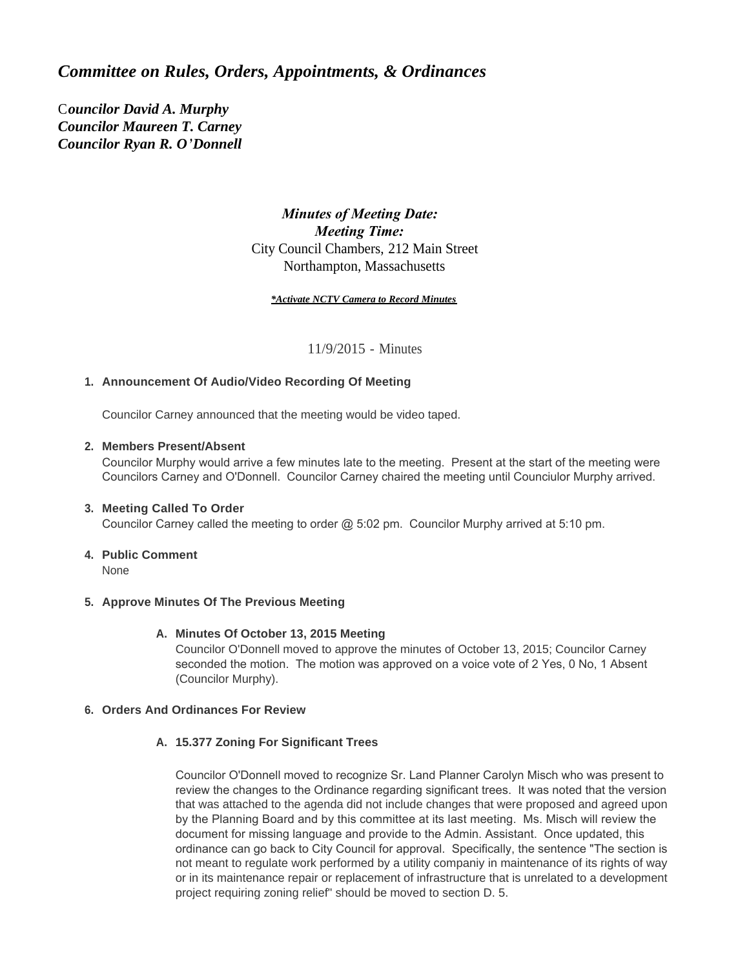# *Committee on Rules, Orders, Appointments, & Ordinances*

C*ouncilor David A. Murphy Councilor Maureen T. Carney Councilor Ryan R. O'Donnell*

# *Minutes of Meeting Date: Meeting Time:*  City Council Chambers, 212 Main Street Northampton, Massachusetts

#### *\*Activate NCTV Camera to Record Minutes*

11/9/2015 - Minutes

# **Announcement Of Audio/Video Recording Of Meeting 1.**

Councilor Carney announced that the meeting would be video taped.

# **Members Present/Absent 2.**

Councilor Murphy would arrive a few minutes late to the meeting. Present at the start of the meeting were Councilors Carney and O'Donnell. Councilor Carney chaired the meeting until Counciulor Murphy arrived.

# **Meeting Called To Order 3.**

Councilor Carney called the meeting to order @ 5:02 pm. Councilor Murphy arrived at 5:10 pm.

# **Public Comment 4.**

None

#### **Approve Minutes Of The Previous Meeting 5.**

#### **Minutes Of October 13, 2015 Meeting A.**

Councilor O'Donnell moved to approve the minutes of October 13, 2015; Councilor Carney seconded the motion. The motion was approved on a voice vote of 2 Yes, 0 No, 1 Absent (Councilor Murphy).

#### **Orders And Ordinances For Review 6.**

#### **15.377 Zoning For Significant Trees A.**

Councilor O'Donnell moved to recognize Sr. Land Planner Carolyn Misch who was present to review the changes to the Ordinance regarding significant trees. It was noted that the version that was attached to the agenda did not include changes that were proposed and agreed upon by the Planning Board and by this committee at its last meeting. Ms. Misch will review the document for missing language and provide to the Admin. Assistant. Once updated, this ordinance can go back to City Council for approval. Specifically, the sentence "The section is not meant to regulate work performed by a utility companiy in maintenance of its rights of way or in its maintenance repair or replacement of infrastructure that is unrelated to a development project requiring zoning relief" should be moved to section D. 5.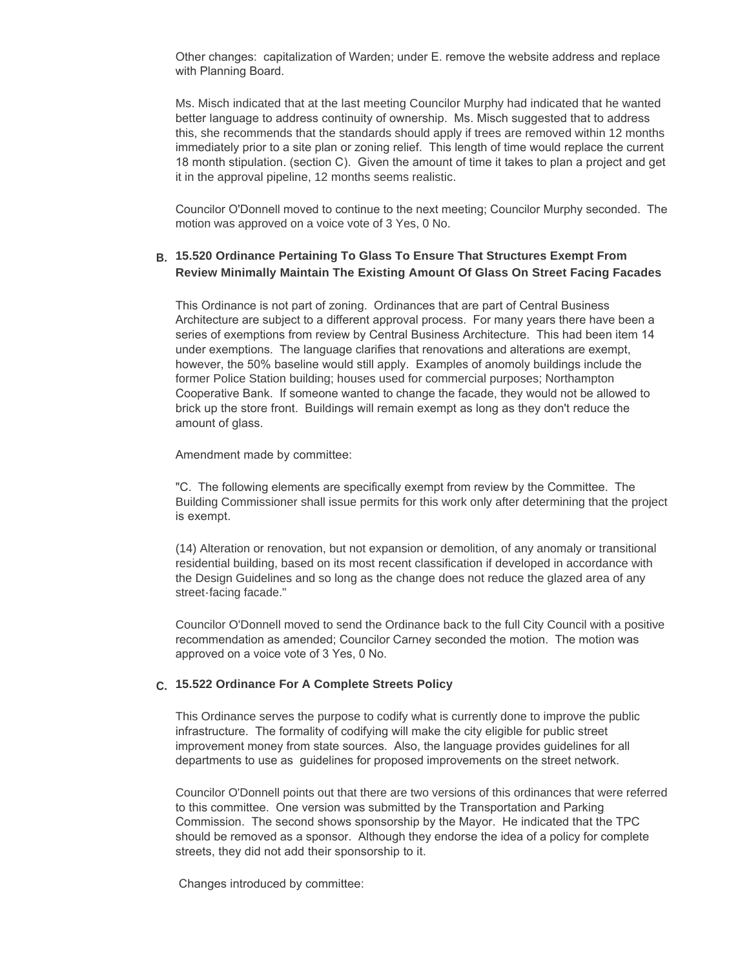Other changes: capitalization of Warden; under E. remove the website address and replace with Planning Board.

Ms. Misch indicated that at the last meeting Councilor Murphy had indicated that he wanted better language to address continuity of ownership. Ms. Misch suggested that to address this, she recommends that the standards should apply if trees are removed within 12 months immediately prior to a site plan or zoning relief. This length of time would replace the current 18 month stipulation. (section C). Given the amount of time it takes to plan a project and get it in the approval pipeline, 12 months seems realistic.

Councilor O'Donnell moved to continue to the next meeting; Councilor Murphy seconded. The motion was approved on a voice vote of 3 Yes, 0 No.

#### **15.520 Ordinance Pertaining To Glass To Ensure That Structures Exempt From B. Review Minimally Maintain The Existing Amount Of Glass On Street Facing Facades**

This Ordinance is not part of zoning. Ordinances that are part of Central Business Architecture are subject to a different approval process. For many years there have been a series of exemptions from review by Central Business Architecture. This had been item 14 under exemptions. The language clarifies that renovations and alterations are exempt, however, the 50% baseline would still apply. Examples of anomoly buildings include the former Police Station building; houses used for commercial purposes; Northampton Cooperative Bank. If someone wanted to change the facade, they would not be allowed to brick up the store front. Buildings will remain exempt as long as they don't reduce the amount of glass.

Amendment made by committee:

"C. The following elements are specifically exempt from review by the Committee. The Building Commissioner shall issue permits for this work only after determining that the project is exempt.

(14) Alteration or renovation, but not expansion or demolition, of any anomaly or transitional residential building, based on its most recent classification if developed in accordance with the Design Guidelines and so long as the change does not reduce the glazed area of any street-facing facade."

Councilor O'Donnell moved to send the Ordinance back to the full City Council with a positive recommendation as amended; Councilor Carney seconded the motion. The motion was approved on a voice vote of 3 Yes, 0 No.

# **15.522 Ordinance For A Complete Streets Policy C.**

This Ordinance serves the purpose to codify what is currently done to improve the public infrastructure. The formality of codifying will make the city eligible for public street improvement money from state sources. Also, the language provides guidelines for all departments to use as guidelines for proposed improvements on the street network.

Councilor O'Donnell points out that there are two versions of this ordinances that were referred to this committee. One version was submitted by the Transportation and Parking Commission. The second shows sponsorship by the Mayor. He indicated that the TPC should be removed as a sponsor. Although they endorse the idea of a policy for complete streets, they did not add their sponsorship to it.

Changes introduced by committee: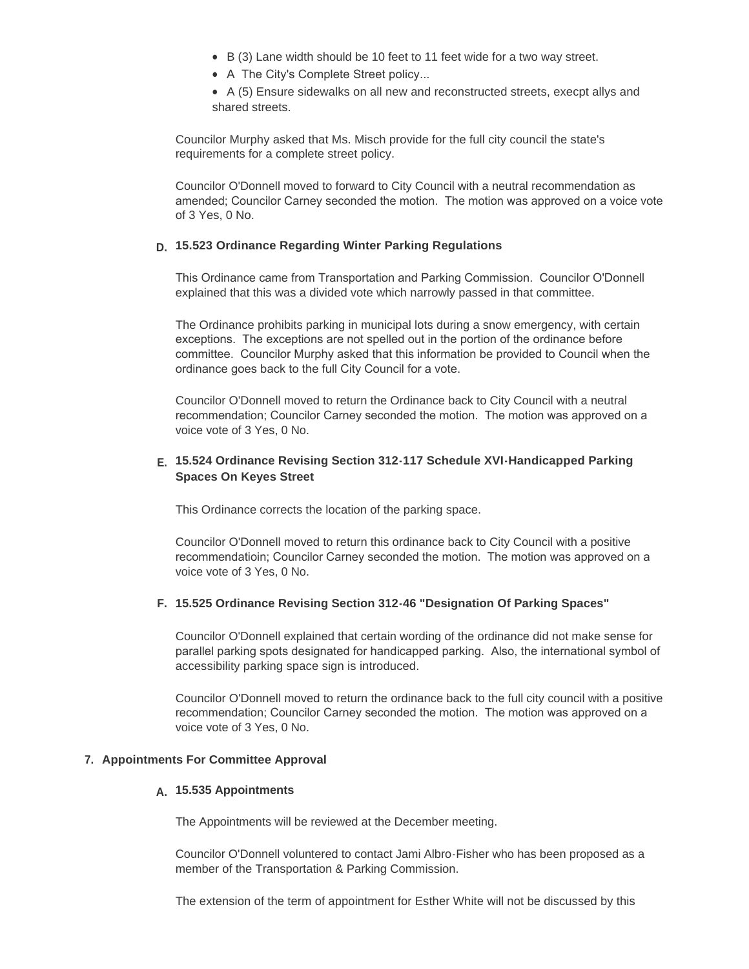- $\bullet$  B (3) Lane width should be 10 feet to 11 feet wide for a two way street.
- A The City's Complete Street policy...

• A (5) Ensure sidewalks on all new and reconstructed streets, execpt allys and shared streets.

Councilor Murphy asked that Ms. Misch provide for the full city council the state's requirements for a complete street policy.

Councilor O'Donnell moved to forward to City Council with a neutral recommendation as amended; Councilor Carney seconded the motion. The motion was approved on a voice vote of 3 Yes, 0 No.

## **15.523 Ordinance Regarding Winter Parking Regulations D.**

This Ordinance came from Transportation and Parking Commission. Councilor O'Donnell explained that this was a divided vote which narrowly passed in that committee.

The Ordinance prohibits parking in municipal lots during a snow emergency, with certain exceptions. The exceptions are not spelled out in the portion of the ordinance before committee. Councilor Murphy asked that this information be provided to Council when the ordinance goes back to the full City Council for a vote.

Councilor O'Donnell moved to return the Ordinance back to City Council with a neutral recommendation; Councilor Carney seconded the motion. The motion was approved on a voice vote of 3 Yes, 0 No.

### **15.524 Ordinance Revising Section 312-117 Schedule XVI-Handicapped Parking E. Spaces On Keyes Street**

This Ordinance corrects the location of the parking space.

Councilor O'Donnell moved to return this ordinance back to City Council with a positive recommendatioin; Councilor Carney seconded the motion. The motion was approved on a voice vote of 3 Yes, 0 No.

#### **15.525 Ordinance Revising Section 312-46 "Designation Of Parking Spaces" F.**

Councilor O'Donnell explained that certain wording of the ordinance did not make sense for parallel parking spots designated for handicapped parking. Also, the international symbol of accessibility parking space sign is introduced.

Councilor O'Donnell moved to return the ordinance back to the full city council with a positive recommendation; Councilor Carney seconded the motion. The motion was approved on a voice vote of 3 Yes, 0 No.

#### **Appointments For Committee Approval 7.**

# **15.535 Appointments A.**

The Appointments will be reviewed at the December meeting.

Councilor O'Donnell voluntered to contact Jami Albro-Fisher who has been proposed as a member of the Transportation & Parking Commission.

The extension of the term of appointment for Esther White will not be discussed by this